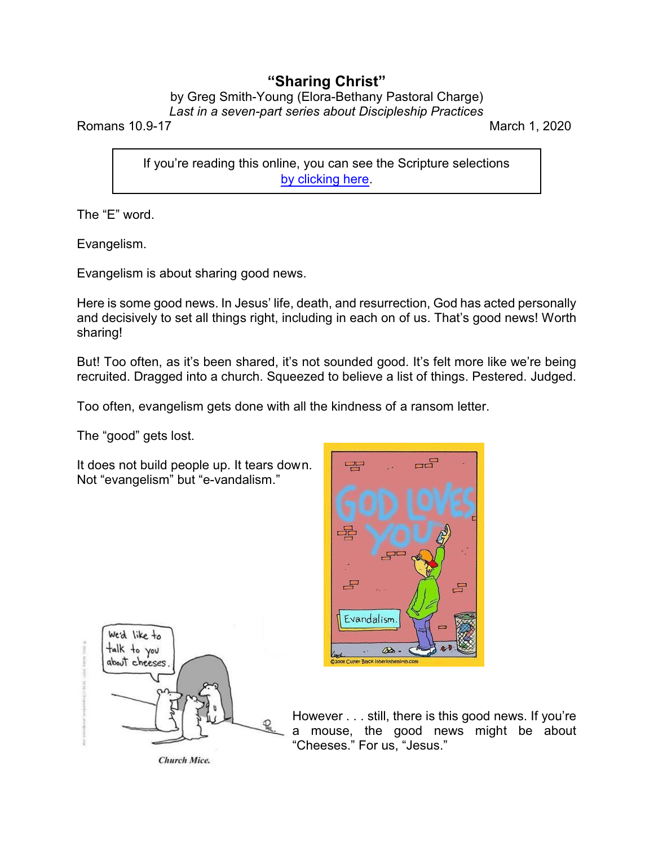## **"Sharing Christ"**

## by Greg Smith-Young (Elora-Bethany Pastoral Charge) *Last in a seven-part series about Discipleship Practices*

Romans 10.9-17 March 1, 2020

If you're reading this online, you can see the Scripture selections [by clicking here](https://www.biblegateway.com/passage/?search=Romans+10.9-17&version=CEB).

The "E" word.

Evangelism.

Evangelism is about sharing good news.

Here is some good news. In Jesus' life, death, and resurrection, God has acted personally and decisively to set all things right, including in each on of us. That's good news! Worth sharing!

But! Too often, as it's been shared, it's not sounded good. It's felt more like we're being recruited. Dragged into a church. Squeezed to believe a list of things. Pestered. Judged.

Too often, evangelism gets done with all the kindness of a ransom letter.

The "good" gets lost.

It does not build people up. It tears down. Not "evangelism" but "e-vandalism."





However . . . still, there is this good news. If you're a mouse, the good news might be about "Cheeses." For us, "Jesus."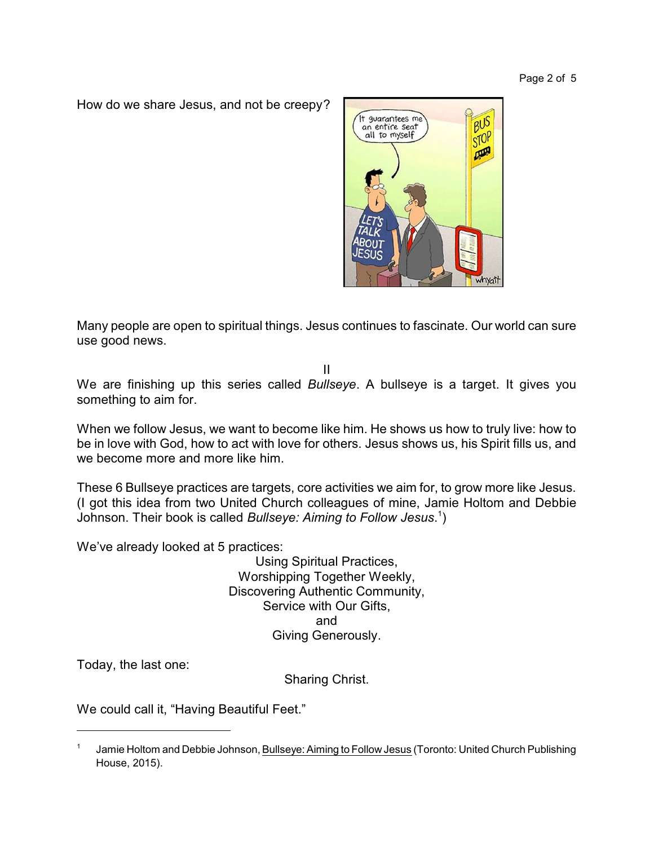How do we share Jesus, and not be creepy?



Many people are open to spiritual things. Jesus continues to fascinate. Our world can sure use good news.

II

We are finishing up this series called *Bullseye*. A bullseye is a target. It gives you something to aim for.

When we follow Jesus, we want to become like him. He shows us how to truly live: how to be in love with God, how to act with love for others. Jesus shows us, his Spirit fills us, and we become more and more like him.

These 6 Bullseye practices are targets, core activities we aim for, to grow more like Jesus. (I got this idea from two United Church colleagues of mine, Jamie Holtom and Debbie Johnson. Their book is called *Bullseye: Aiming to Follow Jesus*. 1 )

We've already looked at 5 practices:

Using Spiritual Practices, Worshipping Together Weekly, Discovering Authentic Community, Service with Our Gifts, and Giving Generously.

Today, the last one:

Sharing Christ.

We could call it, "Having Beautiful Feet."

<sup>1</sup> Jamie Holtom and Debbie Johnson, Bullseye: Aiming to Follow Jesus (Toronto: United Church Publishing House, 2015).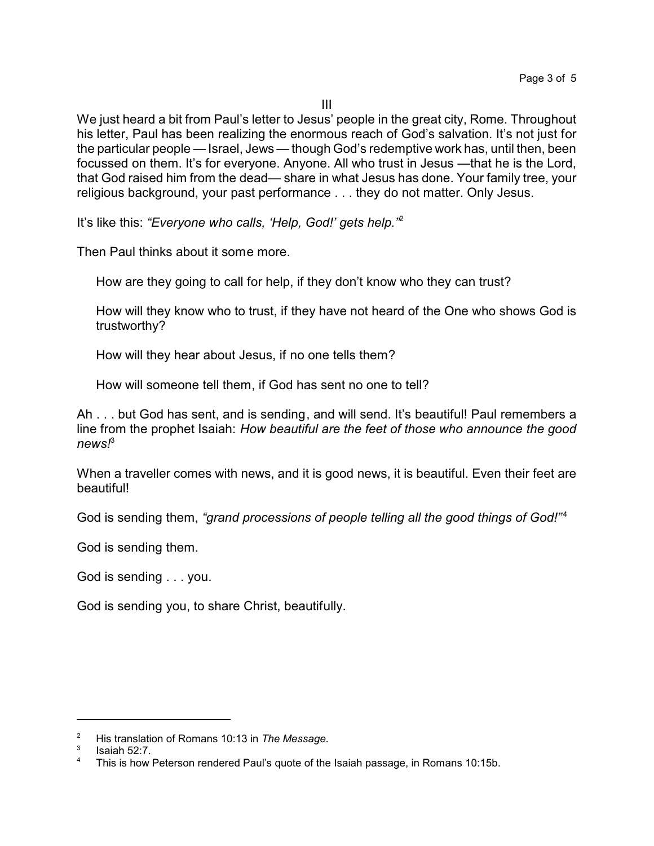III

We just heard a bit from Paul's letter to Jesus' people in the great city, Rome. Throughout his letter, Paul has been realizing the enormous reach of God's salvation. It's not just for the particular people —Israel, Jews — though God's redemptive work has, until then, been focussed on them. It's for everyone. Anyone. All who trust in Jesus —that he is the Lord, that God raised him from the dead— share in what Jesus has done. Your family tree, your religious background, your past performance . . . they do not matter. Only Jesus.

It's like this: *"Everyone who calls, 'Help, God!' gets help."*<sup>2</sup>

Then Paul thinks about it some more.

How are they going to call for help, if they don't know who they can trust?

How will they know who to trust, if they have not heard of the One who shows God is trustworthy?

How will they hear about Jesus, if no one tells them?

How will someone tell them, if God has sent no one to tell?

Ah . . . but God has sent, and is sending, and will send. It's beautiful! Paul remembers a line from the prophet Isaiah: *How beautiful are the feet of those who announce the good news!*<sup>3</sup>

When a traveller comes with news, and it is good news, it is beautiful. Even their feet are beautiful!

God is sending them, "grand processions of people telling all the good things of God!"<sup>4</sup>

God is sending them.

God is sending . . . you.

God is sending you, to share Christ, beautifully.

<sup>2</sup> His translation of Romans 10:13 in *The Message*.

<sup>3</sup> Isaiah 52:7.

<sup>&</sup>lt;sup>4</sup> This is how Peterson rendered Paul's quote of the Isaiah passage, in Romans 10:15b.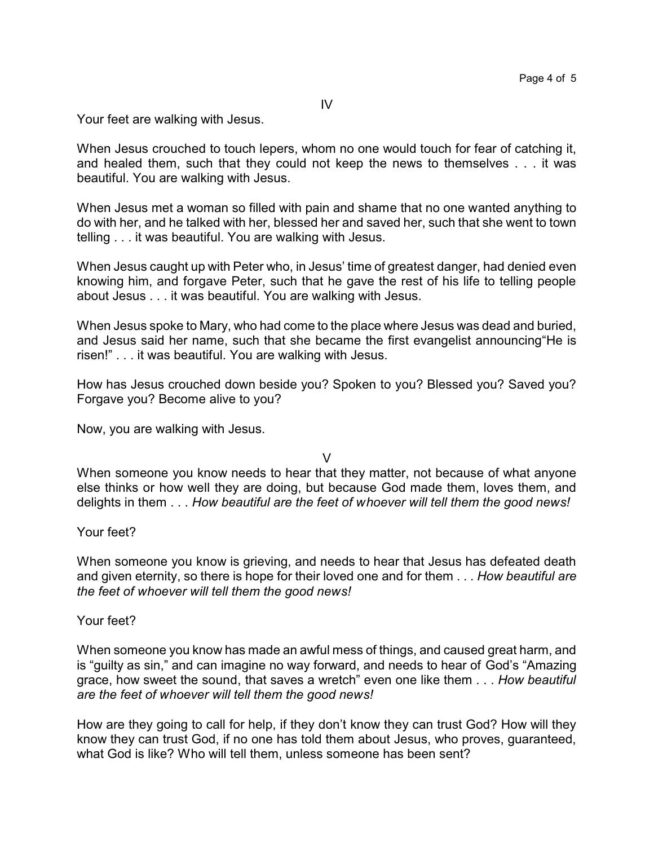Your feet are walking with Jesus.

When Jesus crouched to touch lepers, whom no one would touch for fear of catching it, and healed them, such that they could not keep the news to themselves . . . it was beautiful. You are walking with Jesus.

When Jesus met a woman so filled with pain and shame that no one wanted anything to do with her, and he talked with her, blessed her and saved her, such that she went to town telling . . . it was beautiful. You are walking with Jesus.

When Jesus caught up with Peter who, in Jesus' time of greatest danger, had denied even knowing him, and forgave Peter, such that he gave the rest of his life to telling people about Jesus . . . it was beautiful. You are walking with Jesus.

When Jesus spoke to Mary, who had come to the place where Jesus was dead and buried, and Jesus said her name, such that she became the first evangelist announcing"He is risen!" . . . it was beautiful. You are walking with Jesus.

How has Jesus crouched down beside you? Spoken to you? Blessed you? Saved you? Forgave you? Become alive to you?

Now, you are walking with Jesus.

V

When someone you know needs to hear that they matter, not because of what anyone else thinks or how well they are doing, but because God made them, loves them, and delights in them . . . *How beautiful are the feet of whoever will tell them the good news!*

Your feet?

When someone you know is grieving, and needs to hear that Jesus has defeated death and given eternity, so there is hope for their loved one and for them . . . *How beautiful are the feet of whoever will tell them the good news!*

Your feet?

When someone you know has made an awful mess of things, and caused great harm, and is "guilty as sin," and can imagine no way forward, and needs to hear of God's "Amazing grace, how sweet the sound, that saves a wretch" even one like them . . . *How beautiful are the feet of whoever will tell them the good news!*

How are they going to call for help, if they don't know they can trust God? How will they know they can trust God, if no one has told them about Jesus, who proves, guaranteed, what God is like? Who will tell them, unless someone has been sent?